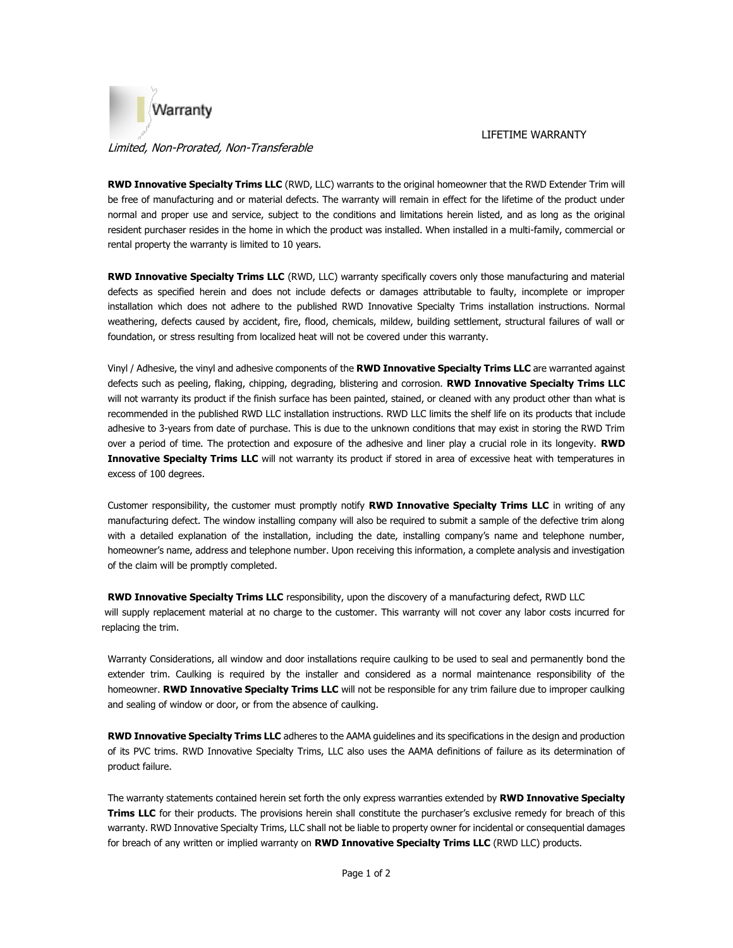

## Limited, Non-Prorated, Non-Transferable

LIFETIME WARRANTY

**RWD Innovative Specialty Trims LLC** (RWD, LLC) warrants to the original homeowner that the RWD Extender Trim will be free of manufacturing and or material defects. The warranty will remain in effect for the lifetime of the product under normal and proper use and service, subject to the conditions and limitations herein listed, and as long as the original resident purchaser resides in the home in which the product was installed. When installed in a multi-family, commercial or rental property the warranty is limited to 10 years.

**RWD Innovative Specialty Trims LLC** (RWD, LLC) warranty specifically covers only those manufacturing and material defects as specified herein and does not include defects or damages attributable to faulty, incomplete or improper installation which does not adhere to the published RWD Innovative Specialty Trims installation instructions. Normal weathering, defects caused by accident, fire, flood, chemicals, mildew, building settlement, structural failures of wall or foundation, or stress resulting from localized heat will not be covered under this warranty.

Vinyl / Adhesive, the vinyl and adhesive components of the **RWD Innovative Specialty Trims LLC** are warranted against defects such as peeling, flaking, chipping, degrading, blistering and corrosion. **RWD Innovative Specialty Trims LLC** will not warranty its product if the finish surface has been painted, stained, or cleaned with any product other than what is recommended in the published RWD LLC installation instructions. RWD LLC limits the shelf life on its products that include adhesive to 3-years from date of purchase. This is due to the unknown conditions that may exist in storing the RWD Trim over a period of time. The protection and exposure of the adhesive and liner play a crucial role in its longevity. **RWD Innovative Specialty Trims LLC** will not warranty its product if stored in area of excessive heat with temperatures in excess of 100 degrees.

Customer responsibility, the customer must promptly notify **RWD Innovative Specialty Trims LLC** in writing of any manufacturing defect. The window installing company will also be required to submit a sample of the defective trim along with a detailed explanation of the installation, including the date, installing company's name and telephone number, homeowner's name, address and telephone number. Upon receiving this information, a complete analysis and investigation of the claim will be promptly completed.

**RWD Innovative Specialty Trims LLC** responsibility, upon the discovery of a manufacturing defect, RWD LLC will supply replacement material at no charge to the customer. This warranty will not cover any labor costs incurred for replacing the trim.

Warranty Considerations, all window and door installations require caulking to be used to seal and permanently bond the extender trim. Caulking is required by the installer and considered as a normal maintenance responsibility of the homeowner. **RWD Innovative Specialty Trims LLC** will not be responsible for any trim failure due to improper caulking and sealing of window or door, or from the absence of caulking.

**RWD Innovative Specialty Trims LLC** adheres to the AAMA guidelines and its specifications in the design and production of its PVC trims. RWD Innovative Specialty Trims, LLC also uses the AAMA definitions of failure as its determination of product failure.

The warranty statements contained herein set forth the only express warranties extended by **RWD Innovative Specialty Trims LLC** for their products. The provisions herein shall constitute the purchaser's exclusive remedy for breach of this warranty. RWD Innovative Specialty Trims, LLC shall not be liable to property owner for incidental or consequential damages for breach of any written or implied warranty on **RWD Innovative Specialty Trims LLC** (RWD LLC) products.